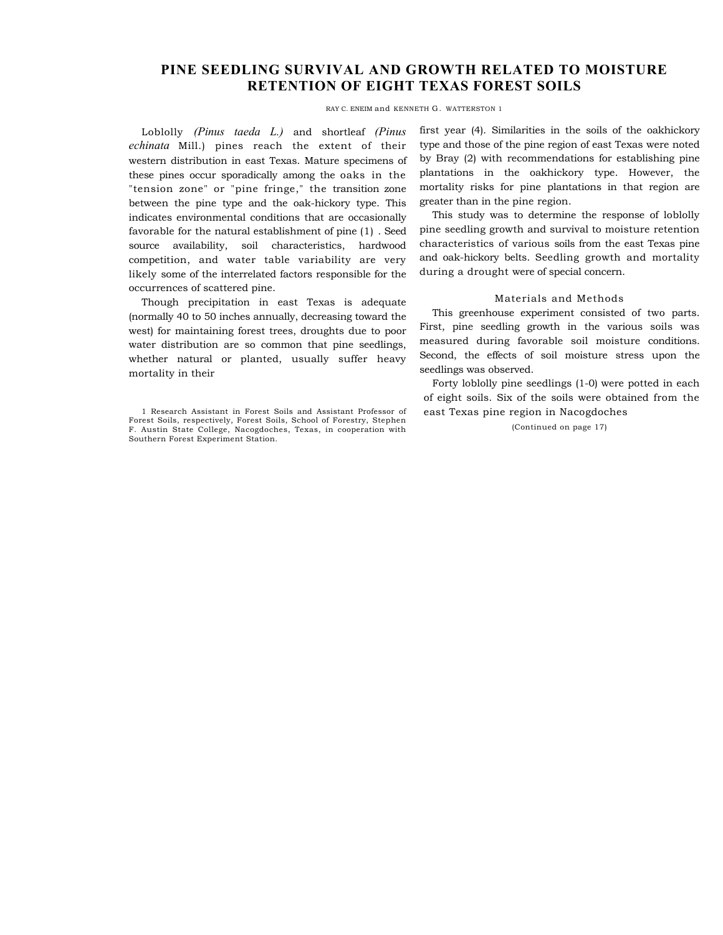## **PINE SEEDLING SURVIVAL AND GROWTH RELATED TO MOISTURE RETENTION OF EIGHT TEXAS FOREST SOILS**

RAY C. ENEIM and KENNETH G. WATTERSTON 1

Loblolly *(Pinus taeda L.)* and shortleaf *(Pinus echinata* Mill.) pines reach the extent of their western distribution in east Texas. Mature specimens of these pines occur sporadically among the oaks in the "tension zone" or "pine fringe," the transition zone between the pine type and the oak-hickory type. This indicates environmental conditions that are occasionally favorable for the natural establishment of pine (1) . Seed source availability, soil characteristics, hardwood competition, and water table variability are very likely some of the interrelated factors responsible for the occurrences of scattered pine.

Though precipitation in east Texas is adequate (normally 40 to 50 inches annually, decreasing toward the west) for maintaining forest trees, droughts due to poor water distribution are so common that pine seedlings, whether natural or planted, usually suffer heavy mortality in their

first year (4). Similarities in the soils of the oakhickory type and those of the pine region of east Texas were noted by Bray (2) with recommendations for establishing pine plantations in the oakhickory type. However, the mortality risks for pine plantations in that region are greater than in the pine region.

This study was to determine the response of loblolly pine seedling growth and survival to moisture retention characteristics of various soils from the east Texas pine and oak-hickory belts. Seedling growth and mortality during a drought were of special concern.

## Materials and Methods

This greenhouse experiment consisted of two parts. First, pine seedling growth in the various soils was measured during favorable soil moisture conditions. Second, the effects of soil moisture stress upon the seedlings was observed.

Forty loblolly pine seedlings (1-0) were potted in each of eight soils. Six of the soils were obtained from the east Texas pine region in Nacogdoches

(Continued on page 17)

<sup>1</sup> Research Assistant in Forest Soils and Assistant Professor of Forest Soils, respectively, Forest Soils, School of Forestry, Stephen F. Austin State College, Nacogdoches, Texas, in cooperation with Southern Forest Experiment Station.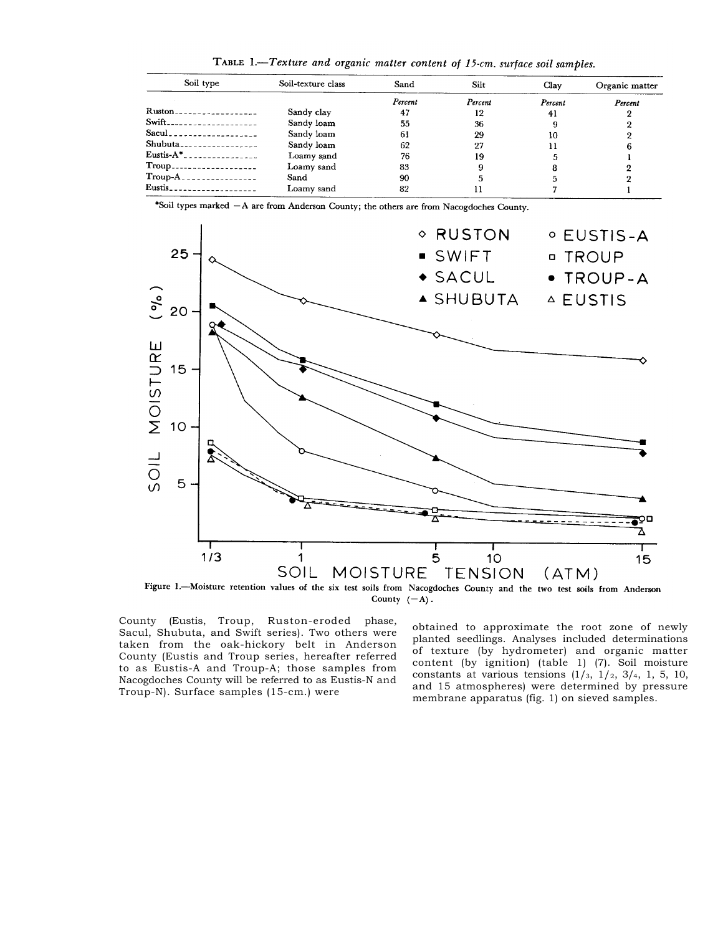TABLE 1.-Texture and organic matter content of 15-cm. surface soil samples.

| Soil type                              | Soil-texture class | Sand    | Silt    | Clay    | Organic matter |  |
|----------------------------------------|--------------------|---------|---------|---------|----------------|--|
|                                        |                    | Percent | Percent | Percent | Percent        |  |
| $Ruston$ ------------------            | Sandy clay         | 47      | 12      | 41      |                |  |
| Swift---------------------             | Sandy loam         | 55      | 36      |         |                |  |
| Sacul                                  | Sandy loam         | 61      | 29      | 10      |                |  |
| $Shubuta$ <sub>----------------</sub>  | Sandy loam         | 62      | 27      |         | 6              |  |
| Eustis- $A^*$                          | Loamy sand         | 76      | 19      |         |                |  |
| Troup____________________              | Loamy sand         | 83      |         |         |                |  |
| $Troup-A$                              | Sand               | 90      |         |         |                |  |
| $Eustis$ <sub>------------------</sub> | Loamy sand         | 82      | 11      |         |                |  |

\*Soil types marked - A are from Anderson County; the others are from Nacogdoches County.



County  $(-A)$ .

County (Eustis, Troup, Ruston-eroded phase, Sacul, Shubuta, and Swift series). Two others were taken from the oak-hickory belt in Anderson County (Eustis and Troup series, hereafter referred to as Eustis-A and Troup-A; those samples from Nacogdoches County will be referred to as Eustis-N and Troup-N). Surface samples (15-cm.) were

obtained to approximate the root zone of newly planted seedlings. Analyses included determinations of texture (by hydrometer) and organic matter content (by ignition) (table 1) (7). Soil moisture constants at various tensions  $(1/3, 1/2, 3/4, 1, 5, 10,$ and 15 atmospheres) were determined by pressure membrane apparatus (fig. 1) on sieved samples.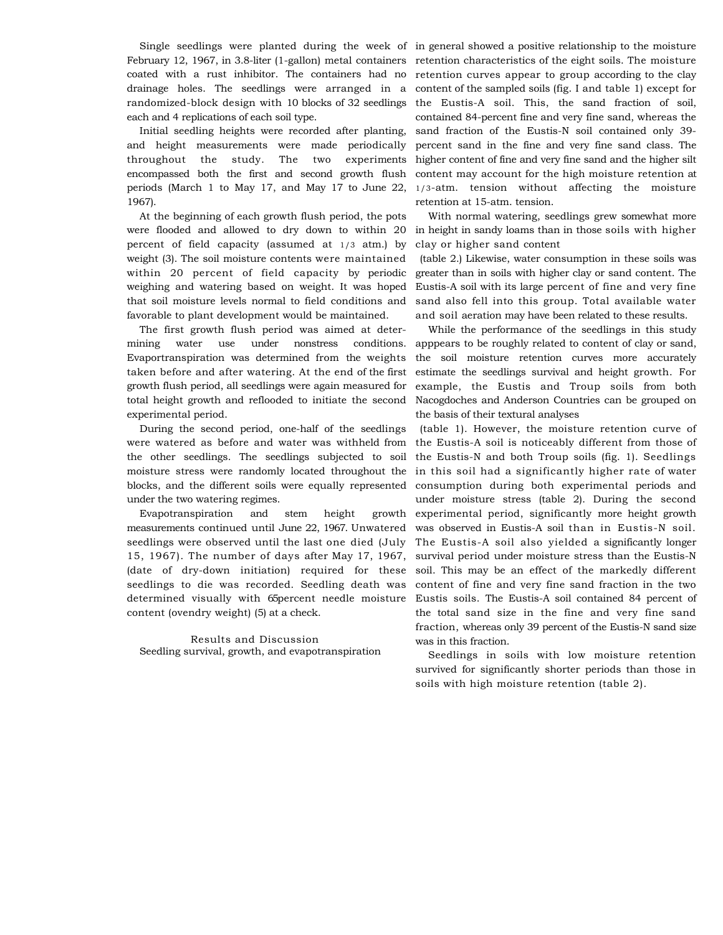Single seedlings were planted during the week of in general showed a positive relationship to the moisture February 12, 1967, in 3.8-liter (1-gallon) metal containers coated with a rust inhibitor. The containers had no drainage holes. The seedlings were arranged in a randomized-block design with 10 blocks of 32 seedlings each and 4 replications of each soil type.

Initial seedling heights were recorded after planting, and height measurements were made periodically throughout the study. The two experiments encompassed both the first and second growth flush periods (March 1 to May 17, and May 17 to June 22, 1967).

At the beginning of each growth flush period, the pots were flooded and allowed to dry down to within 20 percent of field capacity (assumed at 1/3 atm.) by weight (3). The soil moisture contents were maintained within 20 percent of field capacity by periodic weighing and watering based on weight. It was hoped that soil moisture levels normal to field conditions and favorable to plant development would be maintained.

The first growth flush period was aimed at determining water use under nonstress conditions. Evaportranspiration was determined from the weights taken before and after watering. At the end of the first growth flush period, all seedlings were again measured for total height growth and reflooded to initiate the second experimental period.

During the second period, one-half of the seedlings were watered as before and water was withheld from the other seedlings. The seedlings subjected to soil moisture stress were randomly located throughout the blocks, and the different soils were equally represented under the two watering regimes.

Evapotranspiration and stem height growth measurements continued until June 22, 1967. Unwatered seedlings were observed until the last one died (July 15, 1967). The number of days after May 17, 1967, (date of dry-down initiation) required for these seedlings to die was recorded. Seedling death was determined visually with 65percent needle moisture content (ovendry weight) (5) at a check.

Results and Discussion Seedling survival, growth, and evapotranspiration retention characteristics of the eight soils. The moisture retention curves appear to group according to the clay content of the sampled soils (fig. I and table 1) except for the Eustis-A soil. This, the sand fraction of soil, contained 84-percent fine and very fine sand, whereas the sand fraction of the Eustis-N soil contained only 39 percent sand in the fine and very fine sand class. The higher content of fine and very fine sand and the higher silt content may account for the high moisture retention at 1/3-atm. tension without affecting the moisture retention at 15-atm. tension.

With normal watering, seedlings grew somewhat more in height in sandy loams than in those soils with higher clay or higher sand content

(table 2.) Likewise, water consumption in these soils was greater than in soils with higher clay or sand content. The Eustis-A soil with its large percent of fine and very fine sand also fell into this group. Total available water and soil aeration may have been related to these results.

While the performance of the seedlings in this study apppears to be roughly related to content of clay or sand, the soil moisture retention curves more accurately estimate the seedlings survival and height growth. For example, the Eustis and Troup soils from both Nacogdoches and Anderson Countries can be grouped on the basis of their textural analyses

(table 1). However, the moisture retention curve of the Eustis-A soil is noticeably different from those of the Eustis-N and both Troup soils (fig. 1). Seedlings in this soil had a significantly higher rate of water consumption during both experimental periods and under moisture stress (table 2). During the second experimental period, significantly more height growth was observed in Eustis-A soil than in Eustis-N soil. The Eustis-A soil also yielded a significantly longer survival period under moisture stress than the Eustis-N soil. This may be an effect of the markedly different content of fine and very fine sand fraction in the two Eustis soils. The Eustis-A soil contained 84 percent of the total sand size in the fine and very fine sand fraction, whereas only 39 percent of the Eustis-N sand size was in this fraction.

Seedlings in soils with low moisture retention survived for significantly shorter periods than those in soils with high moisture retention (table 2).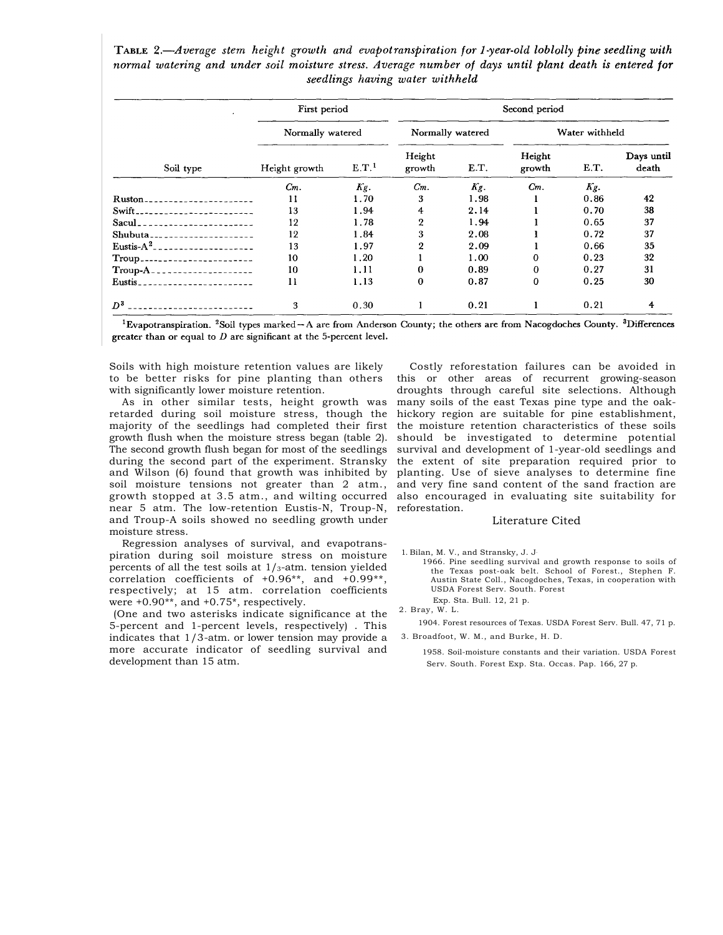TABLE 2.-Average stem height growth and evapotranspiration for 1-year-old loblolly pine seedling with normal watering and under soil moisture stress. Average number of days until plant death is entered for seedlings having water withheld

| Soil type                             | First period     |                   |                  |      | Second period    |      |                     |
|---------------------------------------|------------------|-------------------|------------------|------|------------------|------|---------------------|
|                                       | Normally watered |                   | Normally watered |      | Water withheld   |      |                     |
|                                       | Height growth    | E.T. <sup>1</sup> | Height<br>growth | E.T. | Height<br>growth | E.T. | Days until<br>death |
|                                       | Cm.              | Kg.               | $Cm$ .           | Kg.  | $Cm$ .           | Kg.  |                     |
| Ruston.<br>------------------         | 11               | 1.70              | 3                | 1.98 |                  | 0.86 | 42                  |
| Swift.<br>.                           | 13               | 1.94              | 4                | 2.14 |                  | 0.70 | 38                  |
| Sacul_<br>________ <b>________</b> __ | 12               | 1.78              | $\overline{2}$   | 1.94 |                  | 0.65 | 37                  |
| Shubuta--------------------           | 12               | 1.84              | 3                | 2.08 |                  | 0.72 | 37                  |
| Eustis- $A^2$<br>-------------------  | 13               | 1.97              | $\boldsymbol{2}$ | 2.09 |                  | 0.66 | 35                  |
| Troup                                 | 10               | 1.20              |                  | 1.00 | 0                | 0.23 | 32                  |
| Troup-A <sub>-</sub><br>.             | 10               | 1.11              | 0                | 0.89 | 0                | 0.27 | 31                  |
| Eustis<br>. <b>.</b>                  | 11               | 1.13              | $\bf{0}$         | 0.87 | 0                | 0.25 | 30                  |
| $D^3$                                 | 3                | 0.30              |                  | 0.21 |                  | 0.21 | 4                   |

<sup>1</sup>Evapotranspiration. <sup>2</sup>Soil types marked – A are from Anderson County; the others are from Nacogdoches County. <sup>3</sup>Differences greater than or equal to  $D$  are significant at the 5-percent level.

Soils with high moisture retention values are likely to be better risks for pine planting than others with significantly lower moisture retention.

As in other similar tests, height growth was retarded during soil moisture stress, though the majority of the seedlings had completed their first growth flush when the moisture stress began (table 2). The second growth flush began for most of the seedlings during the second part of the experiment. Stransky and Wilson (6) found that growth was inhibited by soil moisture tensions not greater than 2 atm., growth stopped at 3.5 atm., and wilting occurred near 5 atm. The low-retention Eustis-N, Troup-N, and Troup-A soils showed no seedling growth under moisture stress.

Regression analyses of survival, and evapotranspiration during soil moisture stress on moisture percents of all the test soils at  $1/s$ -atm. tension yielded correlation coefficients of +0.96\*\*, and +0.99\*\*, respectively; at 15 atm. correlation coefficients were +0.90\*\*, and +0.75\*, respectively.

(One and two asterisks indicate significance at the 5-percent and 1-percent levels, respectively) . This indicates that 1/3-atm. or lower tension may provide a more accurate indicator of seedling survival and development than 15 atm.

Costly reforestation failures can be avoided in this or other areas of recurrent growing-season droughts through careful site selections. Although many soils of the east Texas pine type and the oakhickory region are suitable for pine establishment, the moisture retention characteristics of these soils should be investigated to determine potential survival and development of 1-year-old seedlings and the extent of site preparation required prior to planting. Use of sieve analyses to determine fine and very fine sand content of the sand fraction are also encouraged in evaluating site suitability for reforestation.

## Literature Cited

1. Bilan, M. V., and Stransky, J. J.

1966. Pine seedling survival and growth response to soils of the Texas post-oak belt. School of Forest., Stephen F. Austin State Coll., Nacogdoches, Texas, in cooperation with USDA Forest Serv. South. Forest Exp. Sta. Bull. 12, 21 p.

1904. Forest resources of Texas. USDA Forest Serv. Bull. 47, 71 p. 3. Broadfoot, W. M., and Burke, H. D.

1958. Soil-moisture constants and their variation. USDA Forest Serv. South. Forest Exp. Sta. Occas. Pap. 166, 27 p.

<sup>2.</sup> Bray, W. L.